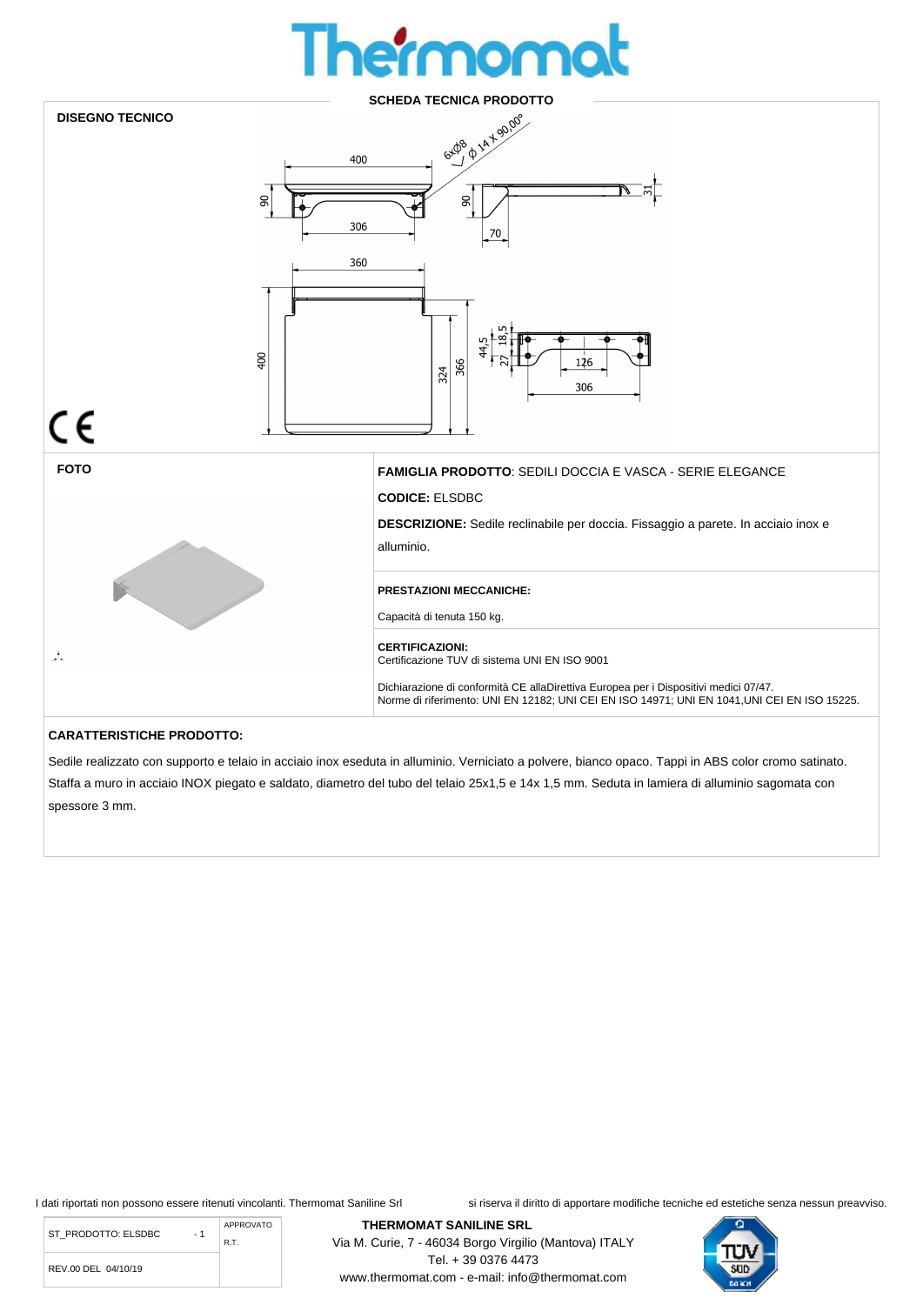## **100**



Sedile realizzato con supporto e telaio in acciaio inox eseduta in alluminio. Verniciato a polvere, bianco opaco. Tappi in ABS color cromo satinato. Staffa a muro in acciaio INOX piegato e saldato, diametro del tubo del telaio 25x1,5 e 14x 1,5 mm. Seduta in lamiera di alluminio sagomata con spessore 3 mm.

> Via M. Curie, 7 - 46034 Borgo Virgilio (Mantova) ITALY Tel. + 39 0376 4473 www.thermomat.com - e-mail: info@thermomat.com

I dati riportati non possono essere ritenuti vincolanti. Thermomat Saniline Srl si riserva il diritto di apportare modifiche tecniche ed estetiche senza nessun preavviso.

ST\_PRODOTTO: ELSDBC - 1 REV.00 DEL 04/10/19 APPROVATO R.T.

**THERMOMAT SANILINE SRL** 

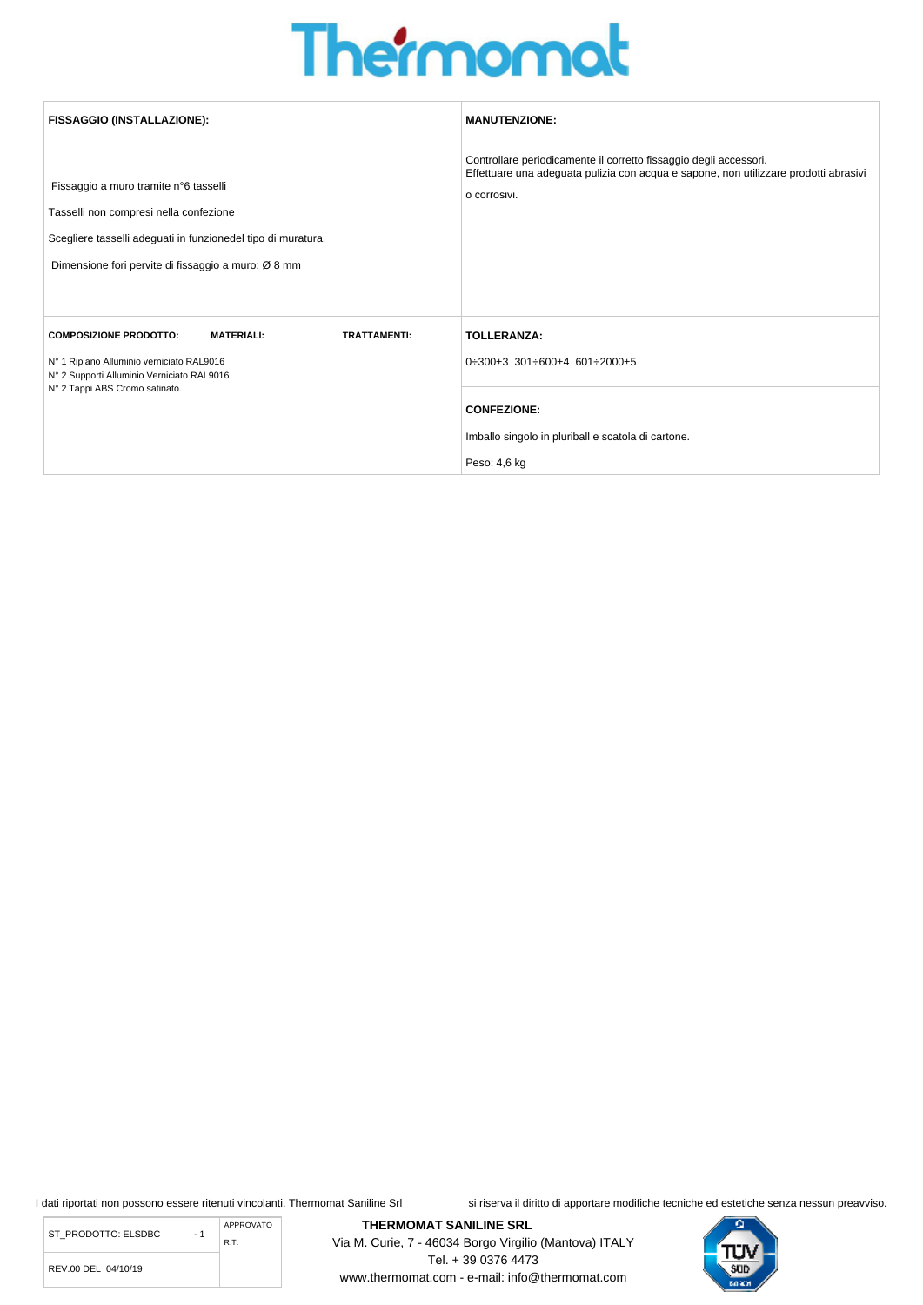## **The momot**

| <b>FISSAGGIO (INSTALLAZIONE):</b>                                                                                                                                                                      | <b>MANUTENZIONE:</b>                                                                                                                                                      |
|--------------------------------------------------------------------------------------------------------------------------------------------------------------------------------------------------------|---------------------------------------------------------------------------------------------------------------------------------------------------------------------------|
| Fissaggio a muro tramite n°6 tasselli<br>Tasselli non compresi nella confezione<br>Scegliere tasselli adeguati in funzionedel tipo di muratura.<br>Dimensione fori pervite di fissaggio a muro: Ø 8 mm | Controllare periodicamente il corretto fissaggio degli accessori.<br>Effettuare una adeguata pulizia con acqua e sapone, non utilizzare prodotti abrasivi<br>o corrosivi. |
| <b>MATERIALI:</b><br><b>TRATTAMENTI:</b><br><b>COMPOSIZIONE PRODOTTO:</b><br>Nº 1 Ripiano Alluminio verniciato RAL9016<br>N° 2 Supporti Alluminio Verniciato RAL9016<br>N° 2 Tappi ABS Cromo satinato. | <b>TOLLERANZA:</b><br>$0\div 300\pm 3$ 301 $\div 600\pm 4$ 601 $\div 2000\pm 5$<br><b>CONFEZIONE:</b>                                                                     |
|                                                                                                                                                                                                        | Imballo singolo in pluriball e scatola di cartone.<br>Peso: 4,6 kg                                                                                                        |

ST\_PRODOTTO: ELSDBC - 1 APPROVATO R.T.

REV.00 DEL 04/10/19

I dati riportati non possono essere ritenuti vincolanti. Thermomat Saniline Srl si riserva il diritto di apportare modifiche tecniche ed estetiche senza nessun preavviso.



**THERMOMAT SANILINE SRL**